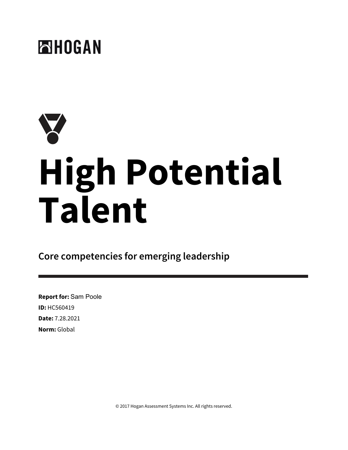

# **High Potential Talent**

**Core competencies for emerging leadership**

**Report for:** Sam Poole **ID:** HC560419 **Date:** 7.28.2021 **Norm:** Global

© 2017 Hogan Assessment Systems Inc. All rights reserved.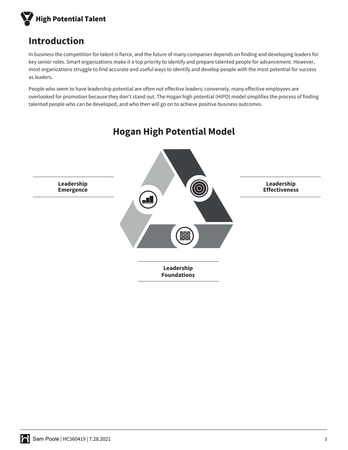

# **Introduction**

In business the competition for talent is fierce, and the future of many companies depends on finding and developing leaders for key senior roles. Smart organizations make it a top priority to identify and prepare talented people for advancement. However, most organizations struggle to find accurate and useful ways to identify and develop people with the most potential for success as leaders.

People who seem to have leadership potential are often not effective leaders; conversely, many effective employees are overlooked for promotion because they don't stand out. The Hogan high potential (HIPO) model simplifies the process of finding talented people who can be developed, and who then will go on to achieve positive business outcomes.



# **Hogan High Potential Model**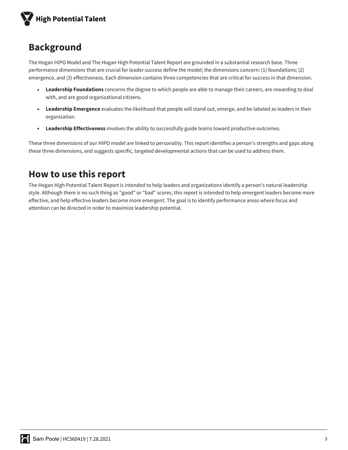

# **Background**

The Hogan HIPO Model and The Hogan High Potential Talent Report are grounded in a substantial research base. Three performance dimensions that are crucial for leader success define the model; the dimensions concern: (1) foundations; (2) emergence, and (3) effectiveness. Each dimension contains three competencies that are critical for success in that dimension.

- **Leadership Foundations** concerns the degree to which people are able to manage their careers, are rewarding to deal with, and are good organizational citizens.
- **Leadership Emergence** evaluates the likelihood that people will stand out, emerge, and be labeled as leaders in their organization.
- **Leadership Effectiveness** involves the ability to successfully guide teams toward productive outcomes.

These three dimensions of our HIPO model are linked to personality. This report identifies a person's strengths and gaps along these three dimensions, and suggests specific, targeted developmental actions that can be used to address them.

# **How to use this report**

The Hogan High Potential Talent Report is intended to help leaders and organizations identify a person's natural leadership style. Although there is no such thing as "good" or "bad" scores, this report is intended to help emergent leaders become more effective, and help effective leaders become more emergent. The goal is to identify performance areas where focus and attention can be directed in order to maximize leadership potential.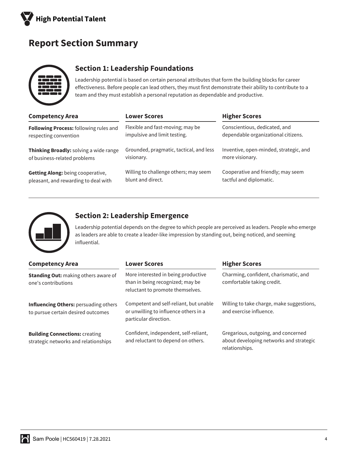

# **Report Section Summary**



#### **Section 1: Leadership Foundations**

Leadership potential is based on certain personal attributes that form the building blocks for career effectiveness. Before people can lead others, they must first demonstrate their ability to contribute to a team and they must establish a personal reputation as dependable and productive.

| <b>Competency Area</b>                 | <b>Lower Scores</b>                     | <b>Higher Scores</b>                   |
|----------------------------------------|-----------------------------------------|----------------------------------------|
| Following Process: following rules and | Flexible and fast-moving; may be        | Conscientious, dedicated, and          |
| respecting convention                  | impulsive and limit testing.            | dependable organizational citizens.    |
| Thinking Broadly: solving a wide range | Grounded, pragmatic, tactical, and less | Inventive, open-minded, strategic, and |
| of business-related problems           | visionary.                              | more visionary.                        |
| Getting Along: being cooperative,      | Willing to challenge others; may seem   | Cooperative and friendly; may seem     |
| pleasant, and rewarding to deal with   | blunt and direct.                       | tactful and diplomatic.                |



#### **Section 2: Leadership Emergence**

Leadership potential depends on the degree to which people are perceived as leaders. People who emerge as leaders are able to create a leader-like impression by standing out, being noticed, and seeming influential.

| <b>Competency Area</b>                                                        | <b>Lower Scores</b>                                                                                                                                                                | <b>Higher Scores</b>                                                                             |
|-------------------------------------------------------------------------------|------------------------------------------------------------------------------------------------------------------------------------------------------------------------------------|--------------------------------------------------------------------------------------------------|
| <b>Standing Out: making others aware of</b><br>one's contributions            | Charming, confident, charismatic, and<br>More interested in being productive<br>than in being recognized; may be<br>comfortable taking credit.<br>reluctant to promote themselves. |                                                                                                  |
| Influencing Others: persuading others<br>to pursue certain desired outcomes   | Competent and self-reliant, but unable<br>or unwilling to influence others in a<br>particular direction.                                                                           | Willing to take charge, make suggestions,<br>and exercise influence.                             |
| <b>Building Connections: creating</b><br>strategic networks and relationships | Confident, independent, self-reliant,<br>and reluctant to depend on others.                                                                                                        | Gregarious, outgoing, and concerned<br>about developing networks and strategic<br>relationships. |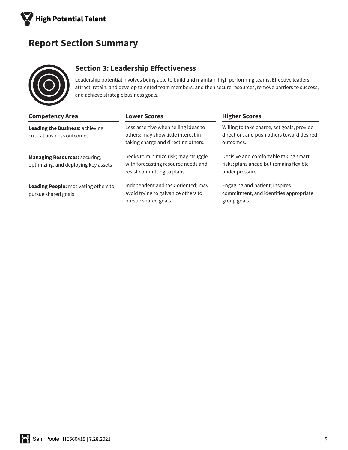

# **Report Section Summary**



## **Section 3: Leadership Effectiveness**

Leadership potential involves being able to build and maintain high performing teams. Effective leaders attract, retain, and develop talented team members, and then secure resources, remove barriers to success, and achieve strategic business goals.

| <b>Competency Area</b>                                                       | <b>Lower Scores</b>                                                                                                | <b>Higher Scores</b>                                                                                 |
|------------------------------------------------------------------------------|--------------------------------------------------------------------------------------------------------------------|------------------------------------------------------------------------------------------------------|
| Leading the Business: achieving<br>critical business outcomes                | Less assertive when selling ideas to<br>others; may show little interest in<br>taking charge and directing others. | Willing to take charge, set goals, provide<br>direction, and push others toward desired<br>outcomes. |
| <b>Managing Resources: securing,</b><br>optimizing, and deploying key assets | Seeks to minimize risk; may struggle<br>with forecasting resource needs and<br>resist committing to plans.         | Decisive and comfortable taking smart<br>risks; plans ahead but remains flexible<br>under pressure.  |
| Leading People: motivating others to<br>pursue shared goals                  | Independent and task-oriented; may<br>avoid trying to galvanize others to<br>pursue shared goals.                  | Engaging and patient; inspires<br>commitment, and identifies appropriate<br>group goals.             |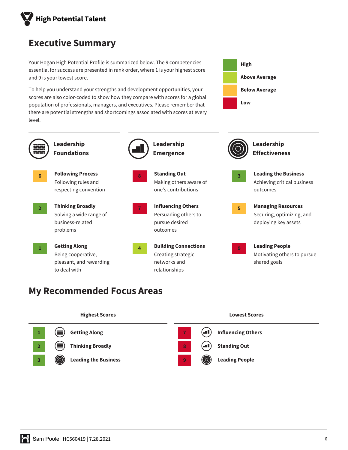

# **Executive Summary**

Your Hogan High Potential Profile is summarized below. The 9 competencies essential for success are presented in rank order, where 1 is your highest score and 9 is your lowest score.

To help you understand your strengths and development opportunities, your scores are also color-coded to show how they compare with scores for a global population of professionals, managers, and executives. Please remember that there are potential strengths and shortcomings associated with scores at every level.





# **My Recommended Focus Areas**

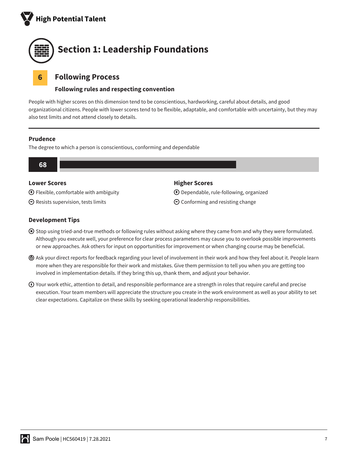



#### **6 Following Process**

#### **Following rules and respecting convention**

People with higher scores on this dimension tend to be conscientious, hardworking, careful about details, and good organizational citizens. People with lower scores tend to be flexible, adaptable, and comfortable with uncertainty, but they may also test limits and not attend closely to details.

#### **Prudence**

The degree to which a person is conscientious, conforming and dependable



#### **Lower Scores**

 $\bigodot$  Flexible, comfortable with ambiguity

 $\Theta$  Resists supervision, tests limits

#### **Higher Scores**

Dependable, rule-following, organized

 $\Theta$  Conforming and resisting change

- Stop using tried-and-true methods or following rules without asking where they came from and why they were formulated. Although you execute well, your preference for clear process parameters may cause you to overlook possible improvements or new approaches. Ask others for input on opportunities for improvement or when changing course may be beneficial.
- Ask your direct reports for feedback regarding your level of involvement in their work and how they feel about it. People learn more when they are responsible for their work and mistakes. Give them permission to tell you when you are getting too involved in implementation details. If they bring this up, thank them, and adjust your behavior.
- $\odot$  Your work ethic, attention to detail, and responsible performance are a strength in roles that require careful and precise execution. Your team members will appreciate the structure you create in the work environment as well as your ability to set clear expectations. Capitalize on these skills by seeking operational leadership responsibilities.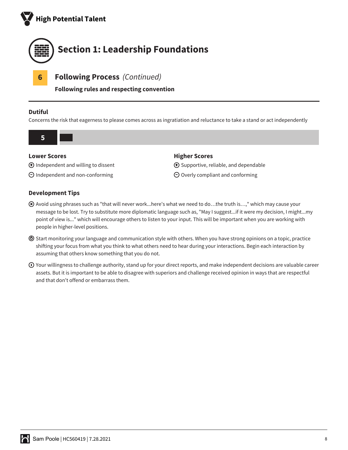



**Following rules and respecting convention**

#### **Dutiful**

Concerns the risk that eagerness to please comes across as ingratiation and reluctance to take a stand or act independently



 $\bigoplus$  Supportive, reliable, and dependable  $\Theta$  Overly compliant and conforming

 $\bigoplus$  Independent and willing to dissent

 $\Theta$  Independent and non-conforming

- Avoid using phrases such as "that will never work...here's what we need to do…the truth is…," which may cause your message to be lost. Try to substitute more diplomatic language such as, "May I suggest...if it were my decision, I might...my point of view is..." which will encourage others to listen to your input. This will be important when you are working with people in higher-level positions.
- $\odot$  Start monitoring your language and communication style with others. When you have strong opinions on a topic, practice shifting your focus from what you think to what others need to hear during your interactions. Begin each interaction by assuming that others know something that you do not.
- $\odot$  Your willingness to challenge authority, stand up for your direct reports, and make independent decisions are valuable career assets. But it is important to be able to disagree with superiors and challenge received opinion in ways that are respectful and that don't offend or embarrass them.

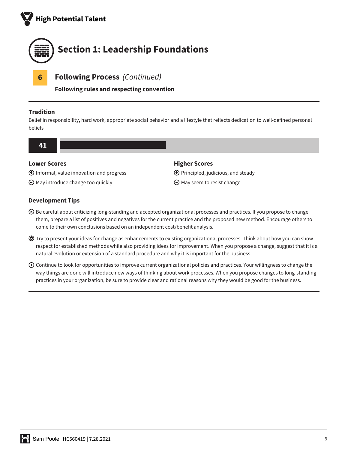



**Following rules and respecting convention**

#### **Tradition**

Belief in responsibility, hard work, appropriate social behavior and a lifestyle that reflects dedication to well-defined personal beliefs



#### **Lower Scores**

 $\bigoplus$  Informal, value innovation and progress

 $\Theta$  May introduce change too quickly

#### **Higher Scores**

 $\bigoplus$  Principled, judicious, and steady

 $\Theta$  May seem to resist change

- Be careful about criticizing long-standing and accepted organizational processes and practices. If you propose to change them, prepare a list of positives and negatives for the current practice and the proposed new method. Encourage others to come to their own conclusions based on an independent cost/benefit analysis.
- Try to present your ideas for change as enhancements to existing organizational processes. Think about how you can show respect for established methods while also providing ideas for improvement. When you propose a change, suggest that it is a natural evolution or extension of a standard procedure and why it is important for the business.
- $\odot$  Continue to look for opportunities to improve current organizational policies and practices. Your willingness to change the way things are done will introduce new ways of thinking about work processes. When you propose changes to long-standing practices in your organization, be sure to provide clear and rational reasons why they would be good for the business.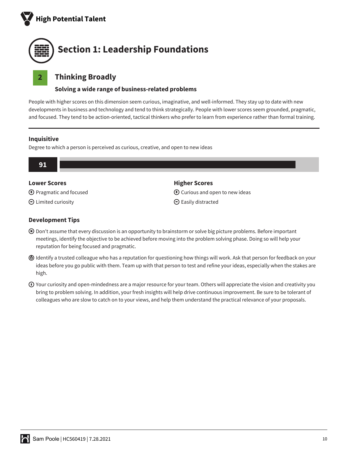



#### **2 Thinking Broadly**

#### **Solving a wide range of business-related problems**

People with higher scores on this dimension seem curious, imaginative, and well-informed. They stay up to date with new developments in business and technology and tend to think strategically. People with lower scores seem grounded, pragmatic, and focused. They tend to be action-oriented, tactical thinkers who prefer to learn from experience rather than formal training.

#### **Inquisitive**

Degree to which a person is perceived as curious, creative, and open to new ideas



#### **Lower Scores**

- Pragmatic and focused
- $\Theta$  Limited curiosity

#### **Higher Scores**

- $\bigodot$  Curious and open to new ideas
- $\Theta$  Easily distracted

- Don't assume that every discussion is an opportunity to brainstorm or solve big picture problems. Before important meetings, identify the objective to be achieved before moving into the problem solving phase. Doing so will help your reputation for being focused and pragmatic.
- Identify a trusted colleague who has a reputation for questioning how things will work. Ask that person for feedback on your ideas before you go public with them. Team up with that person to test and refine your ideas, especially when the stakes are high.
- $\odot$  Your curiosity and open-mindedness are a major resource for your team. Others will appreciate the vision and creativity you bring to problem solving. In addition, your fresh insights will help drive continuous improvement. Be sure to be tolerant of colleagues who are slow to catch on to your views, and help them understand the practical relevance of your proposals.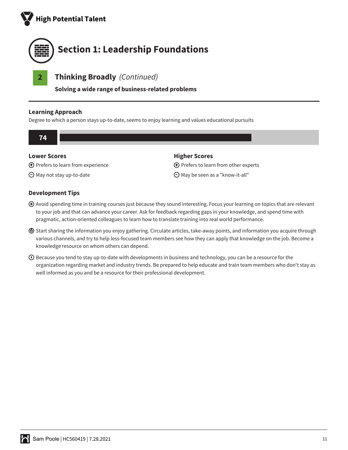



**Solving a wide range of business-related problems**

#### **Learning Approach**

Degree to which a person stays up-to-date, seems to enjoy learning and values educational pursuits



May be seen as a "know-it-all"

- Avoid spending time in training courses just because they sound interesting. Focus your learning on topics that are relevant to your job and that can advance your career. Ask for feedback regarding gaps in your knowledge, and spend time with pragmatic, action-oriented colleagues to learn how to translate training into real world performance.
- Start sharing the information you enjoy gathering. Circulate articles, take-away points, and information you acquire through various channels, and try to help less-focused team members see how they can apply that knowledge on the job. Become a knowledge resource on whom others can depend.
- Because you tend to stay up-to-date with developments in business and technology, you can be a resource for the organization regarding market and industry trends. Be prepared to help educate and train team members who don't stay as well informed as you and be a resource for their professional development.

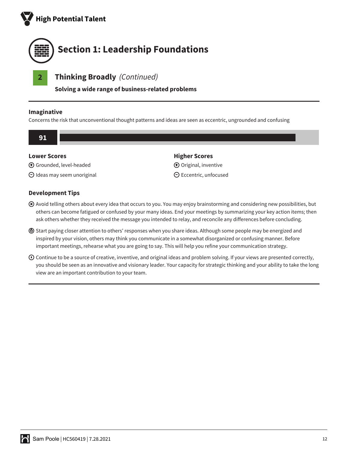



**Solving a wide range of business-related problems**

#### **Imaginative**

Concerns the risk that unconventional thought patterns and ideas are seen as eccentric, ungrounded and confusing



- Avoid telling others about every idea that occurs to you. You may enjoy brainstorming and considering new possibilities, but others can become fatigued or confused by your many ideas. End your meetings by summarizing your key action items; then ask others whether they received the message you intended to relay, and reconcile any differences before concluding.
- Start paying closer attention to others' responses when you share ideas. Although some people may be energized and inspired by your vision, others may think you communicate in a somewhat disorganized or confusing manner. Before important meetings, rehearse what you are going to say. This will help you refine your communication strategy.
- Continue to be a source of creative, inventive, and original ideas and problem solving. If your views are presented correctly, you should be seen as an innovative and visionary leader. Your capacity for strategic thinking and your ability to take the long view are an important contribution to your team.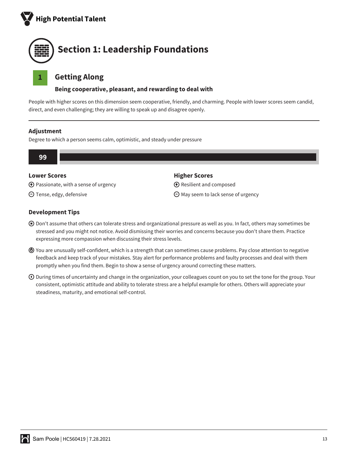



## **1 Getting Along**

#### **Being cooperative, pleasant, and rewarding to deal with**

People with higher scores on this dimension seem cooperative, friendly, and charming. People with lower scores seem candid, direct, and even challenging; they are willing to speak up and disagree openly.

#### **Adjustment**

Degree to which a person seems calm, optimistic, and steady under pressure



#### **Lower Scores**

- $\bigoplus$  Passionate, with a sense of urgency
- $\Theta$  Tense, edgy, defensive

#### **Higher Scores**

- $\bigoplus$  Resilient and composed
- $\Theta$  May seem to lack sense of urgency

- Don't assume that others can tolerate stress and organizational pressure as well as you. In fact, others may sometimes be stressed and you might not notice. Avoid dismissing their worries and concerns because you don't share them. Practice expressing more compassion when discussing their stress levels.
- You are unusually self-confident, which is a strength that can sometimes cause problems. Pay close attention to negative feedback and keep track of your mistakes. Stay alert for performance problems and faulty processes and deal with them promptly when you find them. Begin to show a sense of urgency around correcting these matters.
- $\odot$  During times of uncertainty and change in the organization, your colleagues count on you to set the tone for the group. Your consistent, optimistic attitude and ability to tolerate stress are a helpful example for others. Others will appreciate your steadiness, maturity, and emotional self-control.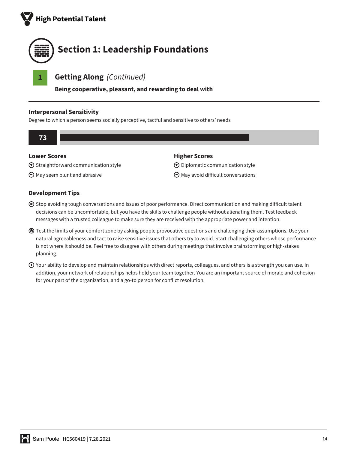



**Being cooperative, pleasant, and rewarding to deal with**

#### **Interpersonal Sensitivity**

Degree to which a person seems socially perceptive, tactful and sensitive to others' needs



#### **Lower Scores**

 $\bigoplus$  Straightforward communication style

 $\Theta$  May seem blunt and abrasive

#### **Higher Scores**

Diplomatic communication style

 $\Theta$  May avoid difficult conversations

- Stop avoiding tough conversations and issues of poor performance. Direct communication and making difficult talent decisions can be uncomfortable, but you have the skills to challenge people without alienating them. Test feedback messages with a trusted colleague to make sure they are received with the appropriate power and intention.
- Test the limits of your comfort zone by asking people provocative questions and challenging their assumptions. Use your natural agreeableness and tact to raise sensitive issues that others try to avoid. Start challenging others whose performance is not where it should be. Feel free to disagree with others during meetings that involve brainstorming or high-stakes planning.
- $\odot$  Your ability to develop and maintain relationships with direct reports, colleagues, and others is a strength you can use. In addition, your network of relationships helps hold your team together. You are an important source of morale and cohesion for your part of the organization, and a go-to person for conflict resolution.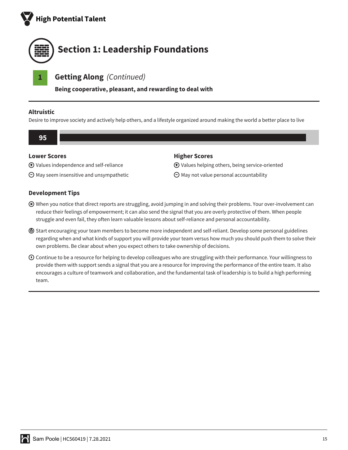



**Being cooperative, pleasant, and rewarding to deal with**

#### **Altruistic**

Desire to improve society and actively help others, and a lifestyle organized around making the world a better place to live



#### **Lower Scores**

Values independence and self-reliance

 $\Theta$  May seem insensitive and unsympathetic

#### **Development Tips**

## Values helping others, being service-oriented

**Higher Scores**

- $\Theta$  May not value personal accountability
- When you notice that direct reports are struggling, avoid jumping in and solving their problems. Your over-involvement can reduce their feelings of empowerment; it can also send the signal that you are overly protective of them. When people struggle and even fail, they often learn valuable lessons about self-reliance and personal accountability.
- Start encouraging your team members to become more independent and self-reliant. Develop some personal guidelines regarding when and what kinds of support you will provide your team versus how much you should push them to solve their own problems. Be clear about when you expect others to take ownership of decisions.
- Continue to be a resource for helping to develop colleagues who are struggling with their performance. Your willingness to provide them with support sends a signal that you are a resource for improving the performance of the entire team. It also encourages a culture of teamwork and collaboration, and the fundamental task of leadership is to build a high performing team.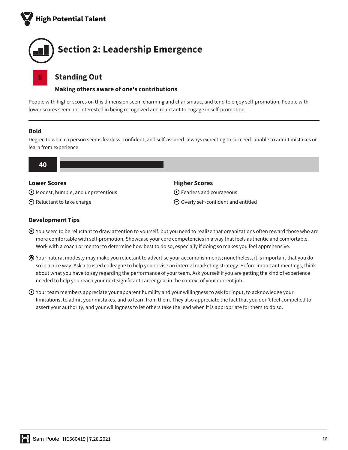



#### **8 Standing Out**

#### **Making others aware of one's contributions**

People with higher scores on this dimension seem charming and charismatic, and tend to enjoy self-promotion. People with lower scores seem not interested in being recognized and reluctant to engage in self-promotion.

#### **Bold**

Degree to which a person seems fearless, confident, and self-assured, always expecting to succeed, unable to admit mistakes or learn from experience.



#### **Lower Scores**

- Modest, humble, and unpretentious
- $\Theta$  Reluctant to take charge

#### **Higher Scores**

Fearless and courageous

Overly self-confident and entitled

- You seem to be reluctant to draw attention to yourself, but you need to realize that organizations often reward those who are more comfortable with self-promotion. Showcase your core competencies in a way that feels authentic and comfortable. Work with a coach or mentor to determine how best to do so, especially if doing so makes you feel apprehensive.
- Your natural modesty may make you reluctant to advertise your accomplishments; nonetheless, it is important that you do so in a nice way. Ask a trusted colleague to help you devise an internal marketing strategy. Before important meetings, think about what you have to say regarding the performance of your team. Ask yourself if you are getting the kind of experience needed to help you reach your next significant career goal in the context of your current job.
- $\odot$  Your team members appreciate your apparent humility and your willingness to ask for input, to acknowledge your limitations, to admit your mistakes, and to learn from them. They also appreciate the fact that you don't feel compelled to assert your authority, and your willingness to let others take the lead when it is appropriate for them to do so.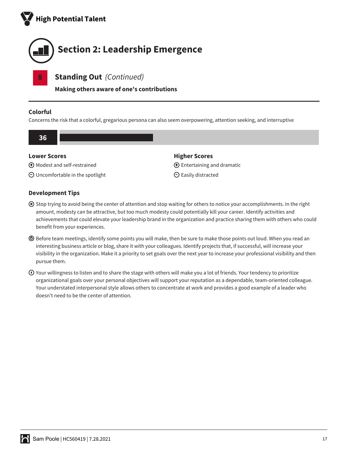



**Making others aware of one's contributions**

#### **Colorful**

Concerns the risk that a colorful, gregarious persona can also seem overpowering, attention seeking, and interruptive

| 36 <sub>1</sub>     |                                     |                                       |
|---------------------|-------------------------------------|---------------------------------------|
| <b>Lower Scores</b> |                                     | <b>Higher Scores</b>                  |
|                     | <b>I</b> Modest and self-restrained | $\bigoplus$ Entertaining and dramatic |

 $\Theta$  Easily distracted

Uncomfortable in the spotlight

- Stop trying to avoid being the center of attention and stop waiting for others to notice your accomplishments. In the right amount, modesty can be attractive, but too much modesty could potentially kill your career. Identify activities and achievements that could elevate your leadership brand in the organization and practice sharing them with others who could benefit from your experiences.
- Before team meetings, identify some points you will make, then be sure to make those points out loud. When you read an interesting business article or blog, share it with your colleagues. Identify projects that, if successful, will increase your visibility in the organization. Make it a priority to set goals over the next year to increase your professional visibility and then pursue them.
- $\odot$  Your willingness to listen and to share the stage with others will make you a lot of friends. Your tendency to prioritize organizational goals over your personal objectives will support your reputation as a dependable, team-oriented colleague. Your understated interpersonal style allows others to concentrate at work and provides a good example of a leader who doesn't need to be the center of attention.

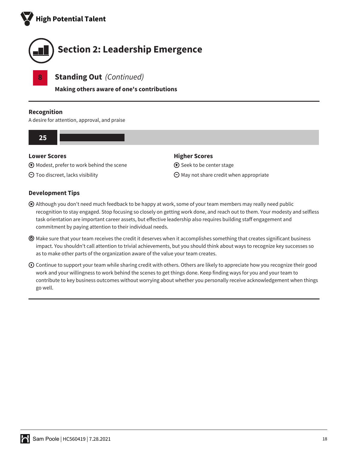



**Making others aware of one's contributions**

#### **Recognition**

A desire for attention, approval, and praise

#### **25**

#### **Lower Scores**

Modest, prefer to work behind the scene

 $\Theta$  Too discreet, lacks visibility

#### **Development Tips**

# $\bigoplus$  Seek to be center stage

**Higher Scores**

 $\Theta$  May not share credit when appropriate

- Although you don't need much feedback to be happy at work, some of your team members may really need public recognition to stay engaged. Stop focusing so closely on getting work done, and reach out to them. Your modesty and selfless task orientation are important career assets, but effective leadership also requires building staff engagement and commitment by paying attention to their individual needs.
- Make sure that your team receives the credit it deserves when it accomplishes something that creates significant business impact. You shouldn't call attention to trivial achievements, but you should think about ways to recognize key successes so as to make other parts of the organization aware of the value your team creates.
- $\odot$  Continue to support your team while sharing credit with others. Others are likely to appreciate how you recognize their good work and your willingness to work behind the scenes to get things done. Keep finding ways for you and your team to contribute to key business outcomes without worrying about whether you personally receive acknowledgement when things go well.

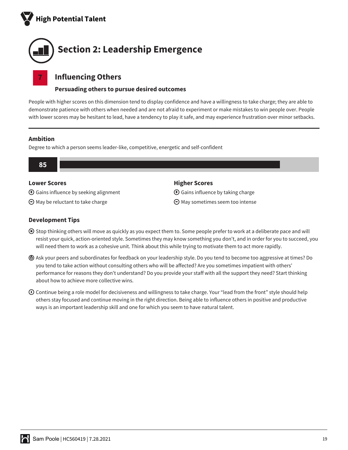



#### **7 Influencing Others**

#### **Persuading others to pursue desired outcomes**

People with higher scores on this dimension tend to display confidence and have a willingness to take charge; they are able to demonstrate patience with others when needed and are not afraid to experiment or make mistakes to win people over. People with lower scores may be hesitant to lead, have a tendency to play it safe, and may experience frustration over minor setbacks.

#### **Ambition**

Degree to which a person seems leader-like, competitive, energetic and self-confident



#### **Lower Scores**

Gains influence by seeking alignment

 $\Theta$  May be reluctant to take charge

#### **Higher Scores**

 $\bigoplus$  Gains influence by taking charge

 $\Theta$  May sometimes seem too intense

- Stop thinking others will move as quickly as you expect them to. Some people prefer to work at a deliberate pace and will resist your quick, action-oriented style. Sometimes they may know something you don't, and in order for you to succeed, you will need them to work as a cohesive unit. Think about this while trying to motivate them to act more rapidly.
- Ask your peers and subordinates for feedback on your leadership style. Do you tend to become too aggressive at times? Do you tend to take action without consulting others who will be affected? Are you sometimes impatient with others' performance for reasons they don't understand? Do you provide your staff with all the support they need? Start thinking about how to achieve more collective wins.
- $\odot$  Continue being a role model for decisiveness and willingness to take charge. Your "lead from the front" style should help others stay focused and continue moving in the right direction. Being able to influence others in positive and productive ways is an important leadership skill and one for which you seem to have natural talent.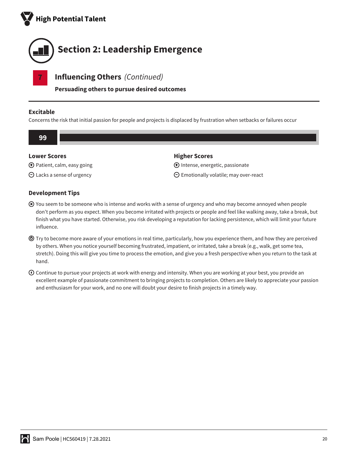



**Persuading others to pursue desired outcomes**

#### **Excitable**

Concerns the risk that initial passion for people and projects is displaced by frustration when setbacks or failures occur



 $\Theta$  Emotionally volatile; may over-react

 $\bigoplus$  Patient, calm, easy going

Lacks a sense of urgency

- You seem to be someone who is intense and works with a sense of urgency and who may become annoyed when people don't perform as you expect. When you become irritated with projects or people and feel like walking away, take a break, but finish what you have started. Otherwise, you risk developing a reputation for lacking persistence, which will limit your future influence.
- Try to become more aware of your emotions in real time, particularly, how you experience them, and how they are perceived by others. When you notice yourself becoming frustrated, impatient, or irritated, take a break (e.g., walk, get some tea, stretch). Doing this will give you time to process the emotion, and give you a fresh perspective when you return to the task at hand.
- $\odot$  Continue to pursue your projects at work with energy and intensity. When you are working at your best, you provide an excellent example of passionate commitment to bringing projects to completion. Others are likely to appreciate your passion and enthusiasm for your work, and no one will doubt your desire to finish projects in a timely way.

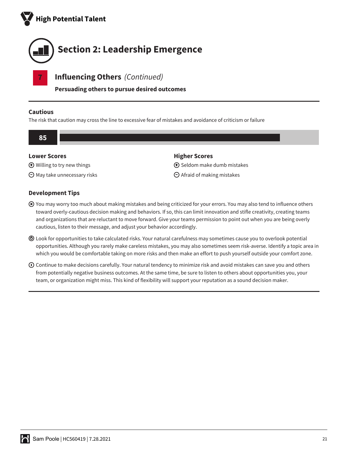



**Persuading others to pursue desired outcomes**

#### **Cautious**

The risk that caution may cross the line to excessive fear of mistakes and avoidance of criticism or failure

| <b>Lower Scores</b>                   | <b>Higher Scores</b>                  |  |
|---------------------------------------|---------------------------------------|--|
| $\bigoplus$ Willing to try new things | $\bigoplus$ Seldom make dumb mistakes |  |
| $\Theta$ May take unnecessary risks   | $\Theta$ Afraid of making mistakes    |  |

#### You may worry too much about making mistakes and being criticized for your errors. You may also tend to influence others toward overly-cautious decision making and behaviors. If so, this can limit innovation and stifle creativity, creating teams and organizations that are reluctant to move forward. Give your teams permission to point out when you are being overly cautious, listen to their message, and adjust your behavior accordingly.

- Look for opportunities to take calculated risks. Your natural carefulness may sometimes cause you to overlook potential opportunities. Although you rarely make careless mistakes, you may also sometimes seem risk-averse. Identify a topic area in which you would be comfortable taking on more risks and then make an effort to push yourself outside your comfort zone.
- $\odot$  Continue to make decisions carefully. Your natural tendency to minimize risk and avoid mistakes can save you and others from potentially negative business outcomes. At the same time, be sure to listen to others about opportunities you, your team, or organization might miss. This kind of flexibility will support your reputation as a sound decision maker.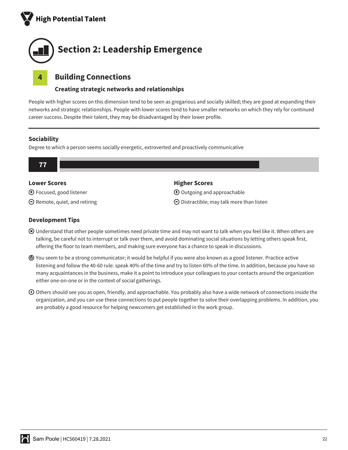



## **4 Building Connections**

#### **Creating strategic networks and relationships**

People with higher scores on this dimension tend to be seen as gregarious and socially skilled; they are good at expanding their networks and strategic relationships. People with lower scores tend to have smaller networks on which they rely for continued career success. Despite their talent, they may be disadvantaged by their lower profile.

#### **Sociability**

Degree to which a person seems socially energetic, extroverted and proactively communicative



#### **Lower Scores**

Focused, good listener

 $\Theta$  Remote, quiet, and retiring

#### **Higher Scores**

 $\bigoplus$  Outgoing and approachable

 $\Theta$  Distractible; may talk more than listen

- Understand that other people sometimes need private time and may not want to talk when you feel like it. When others are talking, be careful not to interrupt or talk over them, and avoid dominating social situations by letting others speak first, offering the floor to team members, and making sure everyone has a chance to speak in discussions.
- You seem to be a strong communicator; it would be helpful if you were also known as a good listener. Practice active listening and follow the 40-60 rule: speak 40% of the time and try to listen 60% of the time. In addition, because you have so many acquaintances in the business, make it a point to introduce your colleagues to your contacts around the organization either one-on-one or in the context of social gatherings.
- $\odot$  Others should see you as open, friendly, and approachable. You probably also have a wide network of connections inside the organization, and you can use these connections to put people together to solve their overlapping problems. In addition, you are probably a good resource for helping newcomers get established in the work group.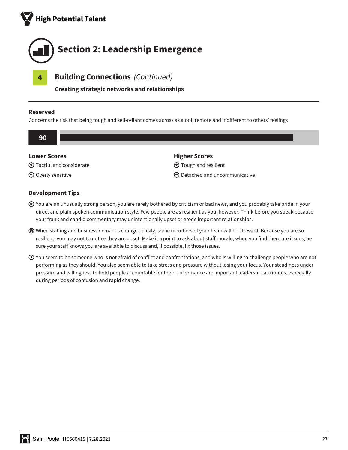



**Creating strategic networks and relationships**

#### **Reserved**

Concerns the risk that being tough and self-reliant comes across as aloof, remote and indifferent to others' feelings

| <b>Lower Scores</b>                 | <b>Higher Scores</b>                  |
|-------------------------------------|---------------------------------------|
| $\bigoplus$ Tactful and considerate | <b>I</b> Tough and resilient          |
| $\Theta$ Overly sensitive           | $\Theta$ Detached and uncommunicative |

- You are an unusually strong person, you are rarely bothered by criticism or bad news, and you probably take pride in your direct and plain spoken communication style. Few people are as resilient as you, however. Think before you speak because your frank and candid commentary may unintentionally upset or erode important relationships.
- When staffing and business demands change quickly, some members of your team will be stressed. Because you are so resilient, you may not to notice they are upset. Make it a point to ask about staff morale; when you find there are issues, be sure your staff knows you are available to discuss and, if possible, fix those issues.
- You seem to be someone who is not afraid of conflict and confrontations, and who is willing to challenge people who are not performing as they should. You also seem able to take stress and pressure without losing your focus. Your steadiness under pressure and willingness to hold people accountable for their performance are important leadership attributes, especially during periods of confusion and rapid change.

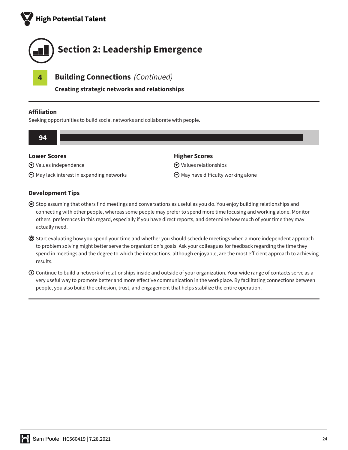



**Creating strategic networks and relationships**

#### **Affiliation**

Seeking opportunities to build social networks and collaborate with people.



#### **Lower Scores**

Values independence

 $\Theta$  May lack interest in expanding networks

#### **Development Tips**

- Stop assuming that others find meetings and conversations as useful as you do. You enjoy building relationships and connecting with other people, whereas some people may prefer to spend more time focusing and working alone. Monitor others' preferences in this regard, especially if you have direct reports, and determine how much of your time they may actually need.
- Start evaluating how you spend your time and whether you should schedule meetings when a more independent approach to problem solving might better serve the organization's goals. Ask your colleagues for feedback regarding the time they spend in meetings and the degree to which the interactions, although enjoyable, are the most efficient approach to achieving results.
- $\odot$  Continue to build a network of relationships inside and outside of your organization. Your wide range of contacts serve as a very useful way to promote better and more effective communication in the workplace. By facilitating connections between people, you also build the cohesion, trust, and engagement that helps stabilize the entire operation.



#### **Higher Scores**

Values relationships

 $\Theta$  May have difficulty working alone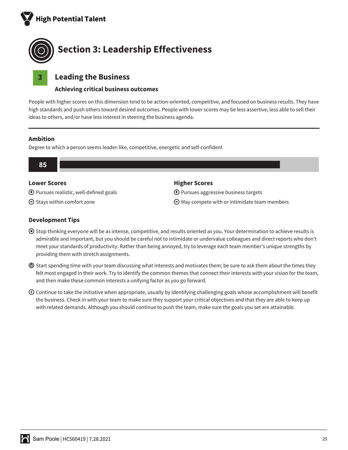



#### **3 Leading the Business**

#### **Achieving critical business outcomes**

People with higher scores on this dimension tend to be action-oriented, competitive, and focused on business results. They have high standards and push others toward desired outcomes. People with lower scores may be less assertive, less able to sell their ideas to others, and/or have less interest in steering the business agenda.

#### **Ambition**

Degree to which a person seems leader-like, competitive, energetic and self-confident



#### **Lower Scores**

Pursues realistic, well-defined goals

 $\Theta$  Stays within comfort zone

#### **Higher Scores**

 $\bigodot$  Pursues aggressive business targets

 $\Theta$  May compete with or intimidate team members

- Stop thinking everyone will be as intense, competitive, and results oriented as you. Your determination to achieve results is admirable and important, but you should be careful not to intimidate or undervalue colleagues and direct reports who don't meet your standards of productivity. Rather than being annoyed, try to leverage each team member's unique strengths by providing them with stretch assignments.
- $\odot$  Start spending time with your team discussing what interests and motivates them; be sure to ask them about the times they felt most engaged in their work. Try to identify the common themes that connect their interests with your vision for the team, and then make these common interests a unifying factor as you go forward.
- $\odot$  Continue to take the initiative when appropriate, usually by identifying challenging goals whose accomplishment will benefit the business. Check in with your team to make sure they support your critical objectives and that they are able to keep up with related demands. Although you should continue to push the team, make sure the goals you set are attainable.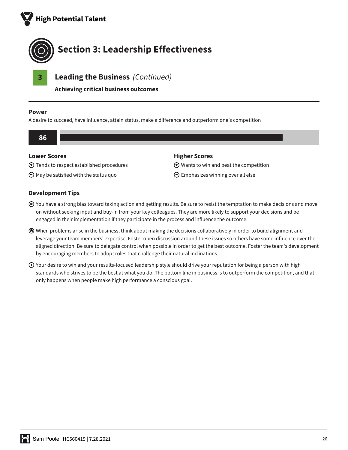



**Achieving critical business outcomes**

#### **Power**

A desire to succeed, have influence, attain status, make a difference and outperform one's competition



Tends to respect established procedures

 $\Theta$  May be satisfied with the status quo

Wants to win and beat the competition

 $\Theta$  Emphasizes winning over all else

- You have a strong bias toward taking action and getting results. Be sure to resist the temptation to make decisions and move on without seeking input and buy-in from your key colleagues. They are more likely to support your decisions and be engaged in their implementation if they participate in the process and influence the outcome.
- When problems arise in the business, think about making the decisions collaboratively in order to build alignment and leverage your team members' expertise. Foster open discussion around these issues so others have some influence over the aligned direction. Be sure to delegate control when possible in order to get the best outcome. Foster the team's development by encouraging members to adopt roles that challenge their natural inclinations.
- $\odot$  Your desire to win and your results-focused leadership style should drive your reputation for being a person with high standards who strives to be the best at what you do. The bottom line in business is to outperform the competition, and that only happens when people make high performance a conscious goal.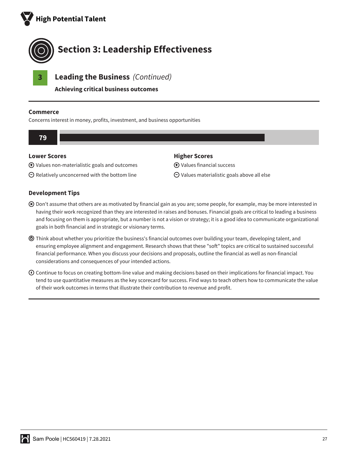



**Achieving critical business outcomes**

#### **Commerce**

Concerns interest in money, profits, investment, and business opportunities



**Higher Scores**

Values financial success

 $\Theta$  Values materialistic goals above all else

#### **Lower Scores**

- Values non-materialistic goals and outcomes
- $\Theta$  Relatively unconcerned with the bottom line

- Don't assume that others are as motivated by financial gain as you are; some people, for example, may be more interested in having their work recognized than they are interested in raises and bonuses. Financial goals are critical to leading a business and focusing on them is appropriate, but a number is not a vision or strategy; it is a good idea to communicate organizational goals in both financial and in strategic or visionary terms.
- Think about whether you prioritize the business's financial outcomes over building your team, developing talent, and ensuring employee alignment and engagement. Research shows that these "soft" topics are critical to sustained successful financial performance. When you discuss your decisions and proposals, outline the financial as well as non-financial considerations and consequences of your intended actions.
- $\odot$  Continue to focus on creating bottom-line value and making decisions based on their implications for financial impact. You tend to use quantitative measures as the key scorecard for success. Find ways to teach others how to communicate the value of their work outcomes in terms that illustrate their contribution to revenue and profit.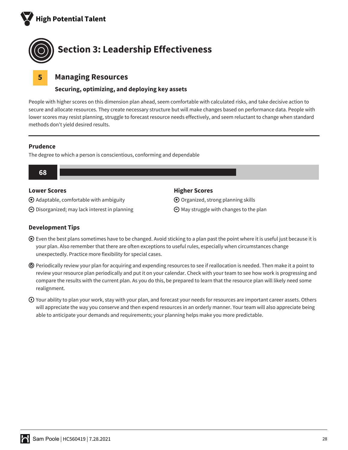



#### **5 Managing Resources**

#### **Securing, optimizing, and deploying key assets**

People with higher scores on this dimension plan ahead, seem comfortable with calculated risks, and take decisive action to secure and allocate resources. They create necessary structure but will make changes based on performance data. People with lower scores may resist planning, struggle to forecast resource needs effectively, and seem reluctant to change when standard methods don't yield desired results.

#### **Prudence**

The degree to which a person is conscientious, conforming and dependable



#### **Lower Scores**

Adaptable, comfortable with ambiguity

 $\Theta$  Disorganized; may lack interest in planning

#### **Higher Scores**

 $\bigoplus$  Organized, strong planning skills

 $\Theta$  May struggle with changes to the plan

- Even the best plans sometimes have to be changed. Avoid sticking to a plan past the point where it is useful just because it is your plan. Also remember that there are often exceptions to useful rules, especially when circumstances change unexpectedly. Practice more flexibility for special cases.
- Periodically review your plan for acquiring and expending resources to see if reallocation is needed. Then make it a point to review your resource plan periodically and put it on your calendar. Check with your team to see how work is progressing and compare the results with the current plan. As you do this, be prepared to learn that the resource plan will likely need some realignment.
- $\odot$  Your ability to plan your work, stay with your plan, and forecast your needs for resources are important career assets. Others will appreciate the way you conserve and then expend resources in an orderly manner. Your team will also appreciate being able to anticipate your demands and requirements; your planning helps make you more predictable.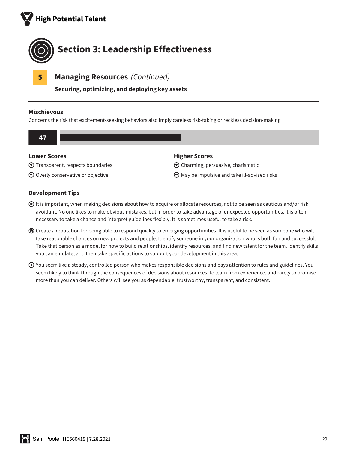



**5 Managing Resources** *(Continued)*

**Securing, optimizing, and deploying key assets**

#### **Mischievous**

Concerns the risk that excitement-seeking behaviors also imply careless risk-taking or reckless decision-making



Transparent, respects boundaries

 $\Theta$  Overly conservative or objective

Charming, persuasive, charismatic

 $\Theta$  May be impulsive and take ill-advised risks

- It is important, when making decisions about how to acquire or allocate resources, not to be seen as cautious and/or risk avoidant. No one likes to make obvious mistakes, but in order to take advantage of unexpected opportunities, it is often necessary to take a chance and interpret guidelines flexibly. It is sometimes useful to take a risk.
- Create a reputation for being able to respond quickly to emerging opportunities. It is useful to be seen as someone who will take reasonable chances on new projects and people. Identify someone in your organization who is both fun and successful. Take that person as a model for how to build relationships, identify resources, and find new talent for the team. Identify skills you can emulate, and then take specific actions to support your development in this area.
- $\odot$  You seem like a steady, controlled person who makes responsible decisions and pays attention to rules and guidelines. You seem likely to think through the consequences of decisions about resources, to learn from experience, and rarely to promise more than you can deliver. Others will see you as dependable, trustworthy, transparent, and consistent.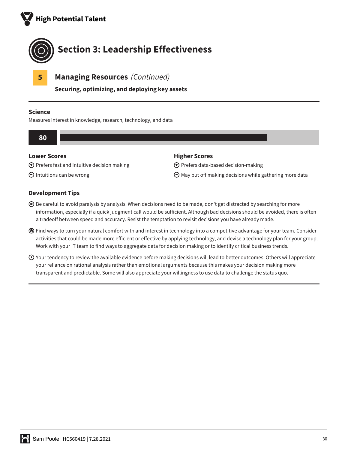



**5 Managing Resources** *(Continued)*

**Securing, optimizing, and deploying key assets**

#### **Science**

Measures interest in knowledge, research, technology, and data



#### **Lower Scores**

 $\bigoplus$  Prefers fast and intuitive decision making

 $\Theta$  Intuitions can be wrong

#### **Higher Scores**

Prefers data-based decision-making

 $\Theta$  May put off making decisions while gathering more data

- Be careful to avoid paralysis by analysis. When decisions need to be made, don't get distracted by searching for more information, especially if a quick judgment call would be sufficient. Although bad decisions should be avoided, there is often a tradeoff between speed and accuracy. Resist the temptation to revisit decisions you have already made.
- Find ways to turn your natural comfort with and interest in technology into a competitive advantage for your team. Consider activities that could be made more efficient or effective by applying technology, and devise a technology plan for your group. Work with your IT team to find ways to aggregate data for decision making or to identify critical business trends.
- Your tendency to review the available evidence before making decisions will lead to better outcomes. Others will appreciate your reliance on rational analysis rather than emotional arguments because this makes your decision making more transparent and predictable. Some will also appreciate your willingness to use data to challenge the status quo.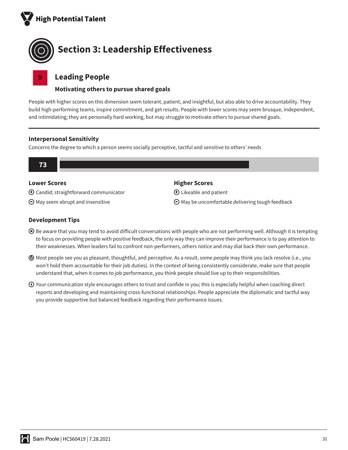



#### **9 Leading People**

#### **Motivating others to pursue shared goals**

People with higher scores on this dimension seem tolerant, patient, and insightful, but also able to drive accountability. They build high-performing teams, inspire commitment, and get results. People with lower scores may seem brusque, independent, and intimidating; they are personally hard working, but may struggle to motivate others to pursue shared goals.

#### **Interpersonal Sensitivity**

Concerns the degree to which a person seems socially perceptive, tactful and sensitive to others' needs



#### **Lower Scores**

- Candid; straightforward communicator
- $\Theta$  May seem abrupt and insensitive

#### **Higher Scores**

Likeable and patient

 $\Theta$  May be uncomfortable delivering tough feedback

- Be aware that you may tend to avoid difficult conversations with people who are not performing well. Although it is tempting to focus on providing people with positive feedback, the only way they can improve their performance is to pay attention to their weaknesses. When leaders fail to confront non-performers, others notice and may dial back their own performance.
- Most people see you as pleasant, thoughtful, and perceptive. As a result, some people may think you lack resolve (i.e., you won't hold them accountable for their job duties). In the context of being consistently considerate, make sure that people understand that, when it comes to job performance, you think people should live up to their responsibilities.
- $\odot$  Your communication style encourages others to trust and confide in you; this is especially helpful when coaching direct reports and developing and maintaining cross-functional relationships. People appreciate the diplomatic and tactful way you provide supportive but balanced feedback regarding their performance issues.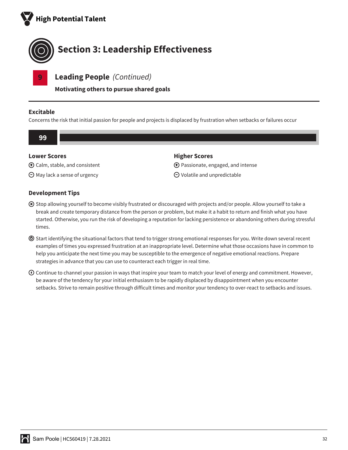



**9 Leading People** *(Continued)*

**Motivating others to pursue shared goals**

#### **Excitable**

Concerns the risk that initial passion for people and projects is displaced by frustration when setbacks or failures occur



Calm, stable, and consistent

 $\Theta$  May lack a sense of urgency

Passionate, engaged, and intense

 $\Theta$  Volatile and unpredictable

- Stop allowing yourself to become visibly frustrated or discouraged with projects and/or people. Allow yourself to take a break and create temporary distance from the person or problem, but make it a habit to return and finish what you have started. Otherwise, you run the risk of developing a reputation for lacking persistence or abandoning others during stressful times.
- Start identifying the situational factors that tend to trigger strong emotional responses for you. Write down several recent examples of times you expressed frustration at an inappropriate level. Determine what those occasions have in common to help you anticipate the next time you may be susceptible to the emergence of negative emotional reactions. Prepare strategies in advance that you can use to counteract each trigger in real time.
- $\odot$  Continue to channel your passion in ways that inspire your team to match your level of energy and commitment. However, be aware of the tendency for your initial enthusiasm to be rapidly displaced by disappointment when you encounter setbacks. Strive to remain positive through difficult times and monitor your tendency to over-react to setbacks and issues.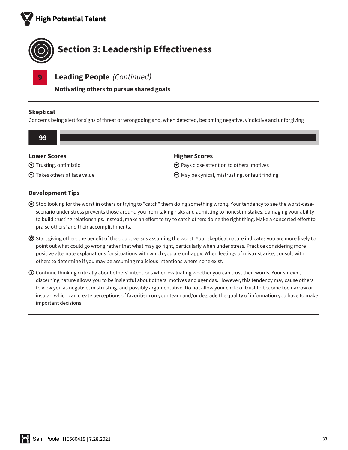



**9 Leading People** *(Continued)*

**Motivating others to pursue shared goals**

#### **Skeptical**

Concerns being alert for signs of threat or wrongdoing and, when detected, becoming negative, vindictive and unforgiving

| 99                     |                                                     |
|------------------------|-----------------------------------------------------|
| <b>Lower Scores</b>    | <b>Higher Scores</b>                                |
| ⊙ Trusting, optimistic | $\bigoplus$ Pays close attention to others' motives |

 $\Theta$  May be cynical, mistrusting, or fault finding

 $\Theta$  Takes others at face value

- Stop looking for the worst in others or trying to "catch" them doing something wrong. Your tendency to see the worst-casescenario under stress prevents those around you from taking risks and admitting to honest mistakes, damaging your ability to build trusting relationships. Instead, make an effort to try to catch others doing the right thing. Make a concerted effort to praise others' and their accomplishments.
- Start giving others the benefit of the doubt versus assuming the worst. Your skeptical nature indicates you are more likely to point out what could go wrong rather that what may go right, particularly when under stress. Practice considering more positive alternate explanations for situations with which you are unhappy. When feelings of mistrust arise, consult with others to determine if you may be assuming malicious intentions where none exist.
- $\odot$  Continue thinking critically about others' intentions when evaluating whether you can trust their words. Your shrewd, discerning nature allows you to be insightful about others' motives and agendas. However, this tendency may cause others to view you as negative, mistrusting, and possibly argumentative. Do not allow your circle of trust to become too narrow or insular, which can create perceptions of favoritism on your team and/or degrade the quality of information you have to make important decisions.

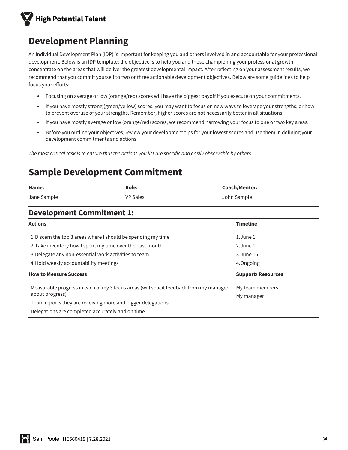

# **Development Planning**

An Individual Development Plan (IDP) is important for keeping you and others involved in and accountable for your professional development. Below is an IDP template; the objective is to help you and those championing your professional growth concentrate on the areas that will deliver the greatest developmental impact. After reflecting on your assessment results, we recommend that you commit yourself to two or three actionable development objectives. Below are some guidelines to help focus your efforts:

- Focusing on average or low (orange/red) scores will have the biggest payoff if you execute on your commitments.
- If you have mostly strong (green/yellow) scores, you may want to focus on new ways to leverage your strengths, or how to prevent overuse of your strengths. Remember, higher scores are not necessarily better in all situations.
- If you have mostly average or low (orange/red) scores, we recommend narrowing your focus to one or two key areas.
- Before you outline your objectives, review your development tips for your lowest scores and use them in defining your development commitments and actions.

*The most critical task is to ensure that the actions you list are specific and easily observable by others.*

# **Sample Development Commitment**

| Name:       | Role:           | <b>Coach/Mentor:</b> |
|-------------|-----------------|----------------------|
| Jane Sample | <b>VP Sales</b> | John Sample          |

#### **Development Commitment 1:**

| <b>Actions</b>                                                                                                     | <b>Timeline</b>               |
|--------------------------------------------------------------------------------------------------------------------|-------------------------------|
| 1. Discern the top 3 areas where I should be spending my time                                                      | $1.$ June $1$                 |
| 2. Take inventory how I spent my time over the past month<br>3. Delegate any non-essential work activities to team | 2. June 1<br>3. June 15       |
| 4. Hold weekly accountability meetings                                                                             | 4.0ngoing                     |
| <b>How to Measure Success</b>                                                                                      | <b>Support/ Resources</b>     |
| Measurable progress in each of my 3 focus areas (will solicit feedback from my manager<br>about progress)          | My team members<br>My manager |
| Team reports they are receiving more and bigger delegations<br>Delegations are completed accurately and on time    |                               |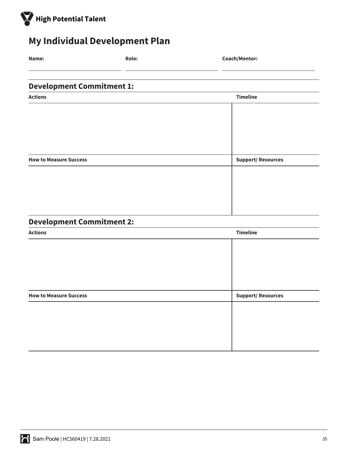

# **My Individual Development Plan**

| Name:                            | <b>Role:</b> | Coach/Mentor: |                          |  |
|----------------------------------|--------------|---------------|--------------------------|--|
|                                  |              |               |                          |  |
| <b>Development Commitment 1:</b> |              |               |                          |  |
| <b>Actions</b>                   |              |               | <b>Timeline</b>          |  |
|                                  |              |               |                          |  |
|                                  |              |               |                          |  |
|                                  |              |               |                          |  |
| <b>How to Measure Success</b>    |              |               | <b>Support/Resources</b> |  |
|                                  |              |               |                          |  |
|                                  |              |               |                          |  |
|                                  |              |               |                          |  |
|                                  |              |               |                          |  |

# **Development Commitment 2:**

| <b>Actions</b>                | <b>Timeline</b>          |  |
|-------------------------------|--------------------------|--|
|                               |                          |  |
|                               |                          |  |
|                               |                          |  |
|                               |                          |  |
|                               |                          |  |
| <b>How to Measure Success</b> | <b>Support/Resources</b> |  |
|                               |                          |  |
|                               |                          |  |
|                               |                          |  |
|                               |                          |  |